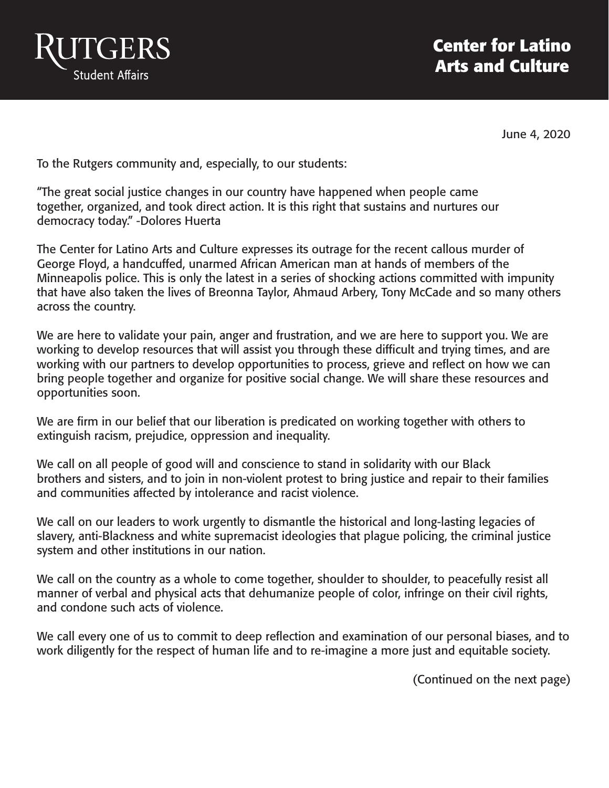

June 4, 2020

To the Rutgers community and, especially, to our students:

"The great social justice changes in our country have happened when people came together, organized, and took direct action. It is this right that sustains and nurtures our democracy today." -Dolores Huerta

The Center for Latino Arts and Culture expresses its outrage for the recent callous murder of George Floyd, a handcuffed, unarmed African American man at hands of members of the Minneapolis police. This is only the latest in a series of shocking actions committed with impunity that have also taken the lives of Breonna Taylor, Ahmaud Arbery, Tony McCade and so many others across the country.

We are here to validate your pain, anger and frustration, and we are here to support you. We are working to develop resources that will assist you through these difficult and trying times, and are working with our partners to develop opportunities to process, grieve and reflect on how we can bring people together and organize for positive social change. We will share these resources and opportunities soon.

We are firm in our belief that our liberation is predicated on working together with others to extinguish racism, prejudice, oppression and inequality.

We call on all people of good will and conscience to stand in solidarity with our Black brothers and sisters, and to join in non-violent protest to bring justice and repair to their families and communities affected by intolerance and racist violence.

We call on our leaders to work urgently to dismantle the historical and long-lasting legacies of slavery, anti-Blackness and white supremacist ideologies that plague policing, the criminal justice system and other institutions in our nation.

We call on the country as a whole to come together, shoulder to shoulder, to peacefully resist all manner of verbal and physical acts that dehumanize people of color, infringe on their civil rights, and condone such acts of violence.

We call every one of us to commit to deep reflection and examination of our personal biases, and to work diligently for the respect of human life and to re-imagine a more just and equitable society.

(Continued on the next page)